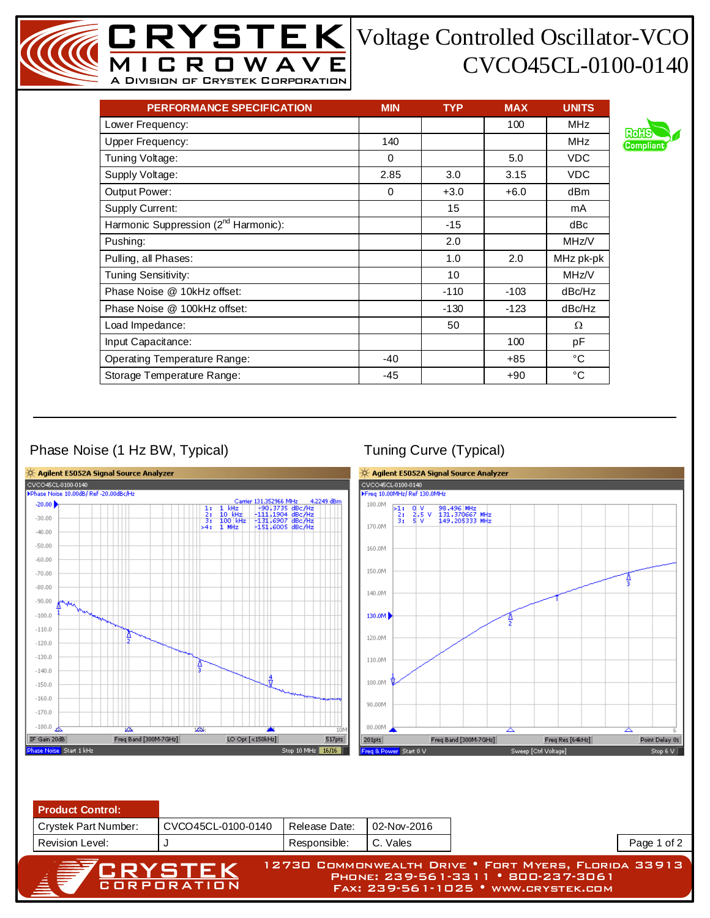## Voltage Controlled Oscillator-VCO CVCO45CL-0100-0140

| <b>PERFORMANCE SPECIFICATION</b>                 | <b>MIN</b> | <b>TYP</b> | <b>MAX</b> | <b>UNITS</b> |
|--------------------------------------------------|------------|------------|------------|--------------|
| Lower Frequency:                                 |            |            | 100        | <b>MHz</b>   |
| Upper Frequency:                                 | 140        |            |            | <b>MHz</b>   |
| Tuning Voltage:                                  | 0          |            | 5.0        | VDC          |
| Supply Voltage:                                  | 2.85       | 3.0        | 3.15       | <b>VDC</b>   |
| Output Power:                                    | 0          | $+3.0$     | $+6.0$     | dBm          |
| <b>Supply Current:</b>                           |            | 15         |            | mA           |
| Harmonic Suppression (2 <sup>nd</sup> Harmonic): |            | $-15$      |            | dBc          |
| Pushing:                                         |            | 2.0        |            | MHz/V        |
| Pulling, all Phases:                             |            | 1.0        | 2.0        | MHz pk-pk    |
| Tuning Sensitivity:                              |            | 10         |            | MHz/V        |
| Phase Noise @ 10kHz offset:                      |            | $-110$     | $-103$     | dBc/Hz       |
| Phase Noise @ 100kHz offset:                     |            | $-130$     | $-123$     | dBc/Hz       |
| Load Impedance:                                  |            | 50         |            | $\Omega$     |
| Input Capacitance:                               |            |            | 100        | pF           |
| <b>Operating Temperature Range:</b>              | $-40$      |            | $+85$      | °C           |
| Storage Temperature Range:                       | $-45$      |            | $+90$      | °C           |

**CRYSTEK** 

A Division of Crystek Corporation

 $\Box$  W A V

## Phase Noise (1 Hz BW, Typical) Tuning Curve (Typical)